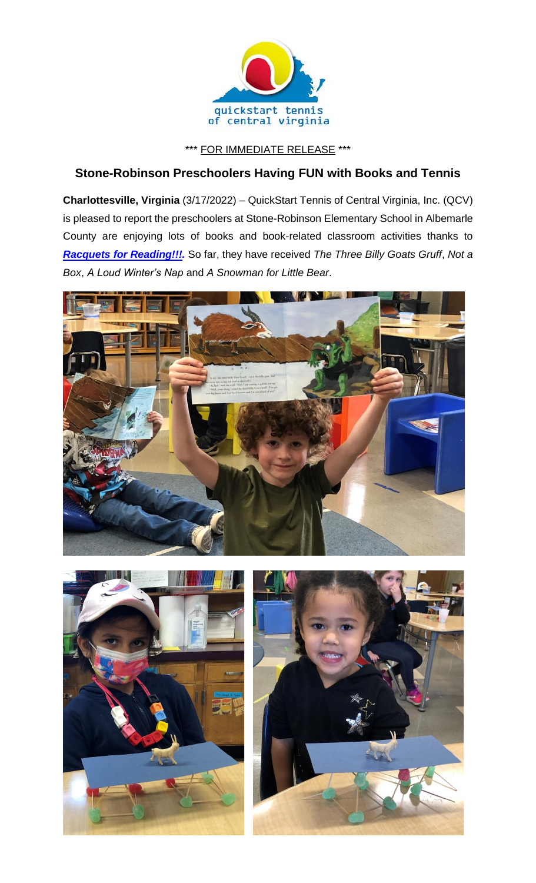

\*\*\* FOR IMMEDIATE RELEASE \*\*\*

## **Stone-Robinson Preschoolers Having FUN with Books and Tennis**

**Charlottesville, Virginia** (3/17/2022) – QuickStart Tennis of Central Virginia, Inc. (QCV) is pleased to report the preschoolers at Stone-Robinson Elementary School in Albemarle County are enjoying lots of books and book-related classroom activities thanks to *[Racquets for Reading!!!.](https://www.quickstartcentral.org/pages/index.cfm?siteid=23306)* So far, they have received *The Three Billy Goats Gruff*, *Not a Box*, *A Loud Winter's Nap* and *A Snowman for Little Bear*.